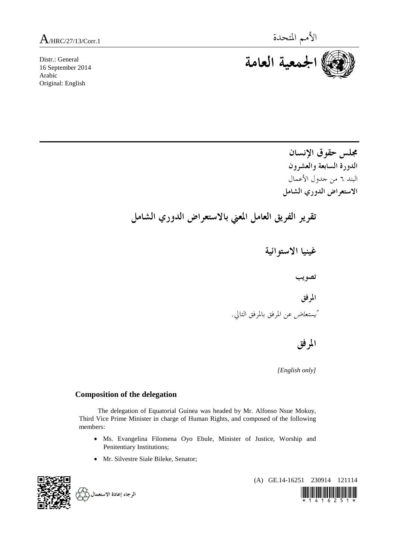Distr.: General 16 September 2014 Arabic Original: English



**مجلس حقوق الإنسان الدورة السابعة والعشرون**  البند ٦ من جدول الأعمال **الاستعراض الدوري الشامل** 

 **تقرير الفريق العامل المعني بالاستعراض الدوري الشامل** 

 **غينيا الاستوائية تصويب المرفق**  يُستعاض عن المرفق بالمرفق التالي.

 **المرفق** 

*[English only]* 

## **Composition of the delegation**

The delegation of Equatorial Guinea was headed by Mr. Alfonso Nsue Mokuy, Third Vice Prime Minister in charge of Human Rights, and composed of the following members:

- Ms. Evangelina Filomena Oyo Ebule, Minister of Justice, Worship and Penitentiary Institutions;
- Mr. Silvestre Siale Bileke, Senator;



(A) GE.14-16251 230914 121114